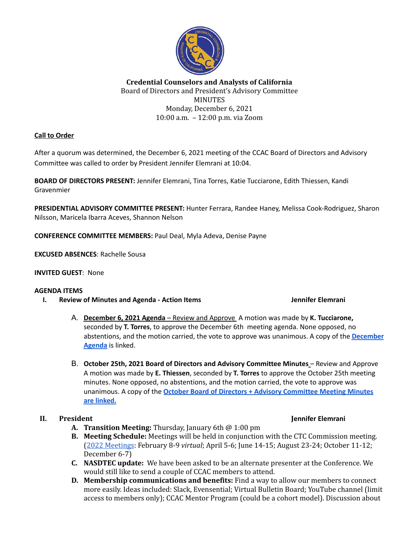

### **Credential Counselors and Analysts of California** Board of Directors and President's Advisory Committee **MINUTES** Monday, December 6, 2021 10:00 a.m. – 12:00 p.m. via Zoom

### **Call to Order**

After a quorum was determined, the December 6, 2021 meeting of the CCAC Board of Directors and Advisory Committee was called to order by President Jennifer Elemrani at 10:04.

**BOARD OF DIRECTORS PRESENT:** Jennifer Elemrani, Tina Torres, Katie Tucciarone, Edith Thiessen, Kandi Gravenmier

**PRESIDENTIAL ADVISORY COMMITTEE PRESENT:** Hunter Ferrara, Randee Haney, Melissa Cook-Rodriguez, Sharon Nilsson, Maricela Ibarra Aceves, Shannon Nelson

**CONFERENCE COMMITTEE MEMBERS:** Paul Deal, Myla Adeva, Denise Payne

**EXCUSED ABSENCES**: Rachelle Sousa

### **INVITED GUEST**: None

### **AGENDA ITEMS**

**I. Review of Minutes and Agenda - Action Items Jennifer Elemrani**

- A. **December 6, 2021 Agenda** Review and Approve A motion was made by **K. Tucciarone,** seconded by **T. Torres**, to approve the December 6th meeting agenda. None opposed, no abstentions, and the motion carried, the vote to approve was unanimous. A copy of the **[December](https://docs.google.com/document/d/18fNk0ze_zPaz8LQIo0Nd2LN2JJUgPE2Ek8trucKQEU4/edit?usp=sharing) [Agenda](https://docs.google.com/document/d/18fNk0ze_zPaz8LQIo0Nd2LN2JJUgPE2Ek8trucKQEU4/edit?usp=sharing)** is linked.
- B. **October 25th, 2021 Board of Directors and Advisory Committee Minutes** Review and Approve A motion was made by **E. Thiessen**, seconded by **T. Torres** to approve the October 25th meeting minutes. None opposed, no abstentions, and the motion carried, the vote to approve was unanimous. A copy of the **October Board of Directors + Advisory [Committee](https://docs.google.com/document/d/1O6ZYh-Mg45DVs8GGHTJCaJqJ7nWcGr--0V1MVNXZ0Cc/edit?usp=sharing) Meeting Minutes are [linked.](https://docs.google.com/document/d/1O6ZYh-Mg45DVs8GGHTJCaJqJ7nWcGr--0V1MVNXZ0Cc/edit?usp=sharing)**

- **A. Transition Meeting:** Thursday, January 6th @ 1:00 pm
- **B. Meeting Schedule:** Meetings will be held in conjunction with the CTC Commission meeting. (2022 [Meetings](https://www.ctc.ca.gov/commission/meetings-upcoming): February 8-9 *virtual*; April 5-6; June 14-15; August 23-24; October 11-12; December 6-7)
- **C. NASDTEC update:** We have been asked to be an alternate presenter at the Conference. We would still like to send a couple of CCAC members to attend.
- **D. Membership communications and benefits:** Find a way to allow our members to connect more easily. Ideas included: Slack, Evensential; Virtual Bulletin Board; YouTube channel (limit access to members only); CCAC Mentor Program (could be a cohort model). Discussion about

### **II. President Jennifer Elemrani**